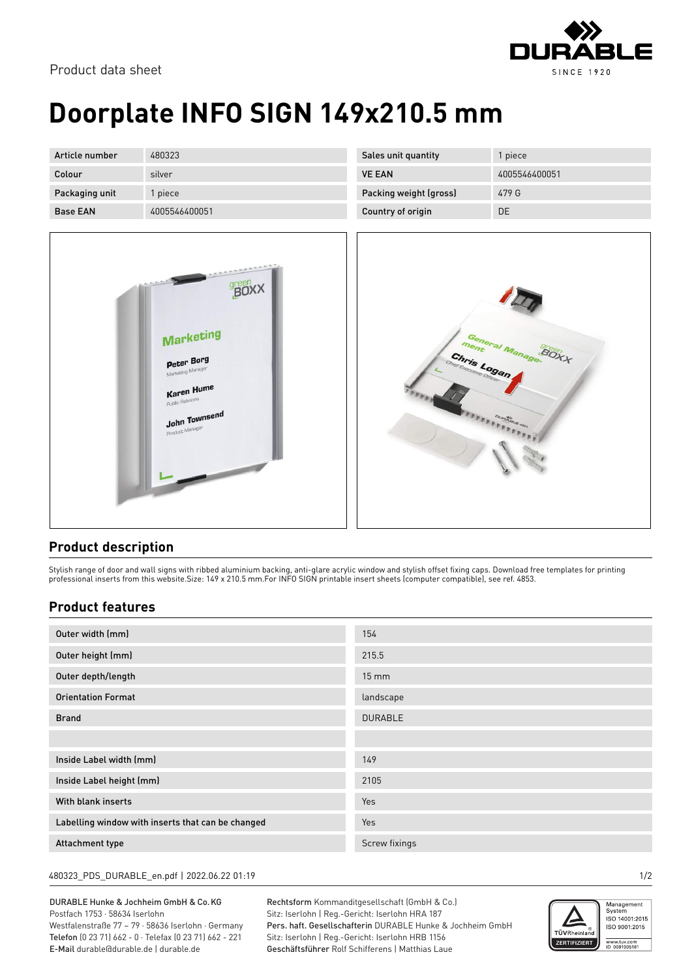

Product data sheet

## **Doorplate INFO SIGN 149x210.5 mm**

| Article number  | 480323        | Sales unit quantity    | 1 piece |
|-----------------|---------------|------------------------|---------|
| Colour          | silver        | <b>VE EAN</b>          | 400554  |
| Packaging unit  | piece         | Packing weight (gross) | 479 G   |
| <b>Base EAN</b> | 4005546400051 | Country of origin      | DE      |



| Sales unit quantity    | 1 piece       |
|------------------------|---------------|
| <b>VE FAN</b>          | 4005546400051 |
| Packing weight (gross) | 479 G         |
| Country of origin      | DE            |



## **Product description**

Stylish range of door and wall signs with ribbed aluminium backing, anti-glare acrylic window and stylish offset fixing caps. Download free templates for printing professional inserts from this website.Size: 149 x 210.5 mm.For INFO SIGN printable insert sheets (computer compatible), see ref. 4853.

## **Product features**

| Outer width (mm)                                  | 154             |
|---------------------------------------------------|-----------------|
| Outer height (mm)                                 | 215.5           |
| Outer depth/length                                | $15 \text{ mm}$ |
| <b>Orientation Format</b>                         | landscape       |
| <b>Brand</b>                                      | <b>DURABLE</b>  |
|                                                   |                 |
| Inside Label width (mm)                           | 149             |
| Inside Label height (mm)                          | 2105            |
| With blank inserts                                | <b>Yes</b>      |
| Labelling window with inserts that can be changed | Yes             |
| Attachment type                                   | Screw fixings   |

480323\_PDS\_DURABLE\_en.pdf | 2022.06.22 01:19 1/2

DURABLE Hunke & Jochheim GmbH & Co.KG Postfach 1753 · 58634 Iserlohn Westfalenstraße 77 – 79 · 58636 Iserlohn · Germany Telefon (0 23 71) 662 - 0 · Telefax (0 23 71) 662 - 221 E-Mail durable@durable.de | durable.de

Rechtsform Kommanditgesellschaft (GmbH & Co.) Sitz: Iserlohn | Reg.-Gericht: Iserlohn HRA 187 Pers. haft. Gesellschafterin DURABLE Hunke & Jochheim GmbH Sitz: Iserlohn | Reg.-Gericht: Iserlohn HRB 1156 Geschäftsführer Rolf Schifferens | Matthias Laue